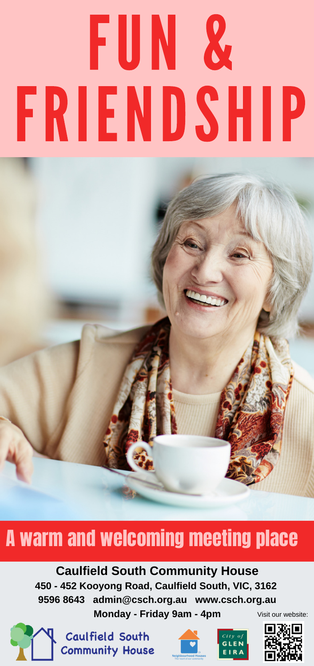# FUN & FRIENDSHIP

## A warm and welcoming meeting place

#### **Caulfield South Community House 450 - 452 Kooyong Road, Caulfield South, VIC, 3162 9596 8643 admin@csch.org.au www.csch.org.au**

**Monday - Friday 9am - 4pm**



Caulfield South **Community House** 





Visit our website: